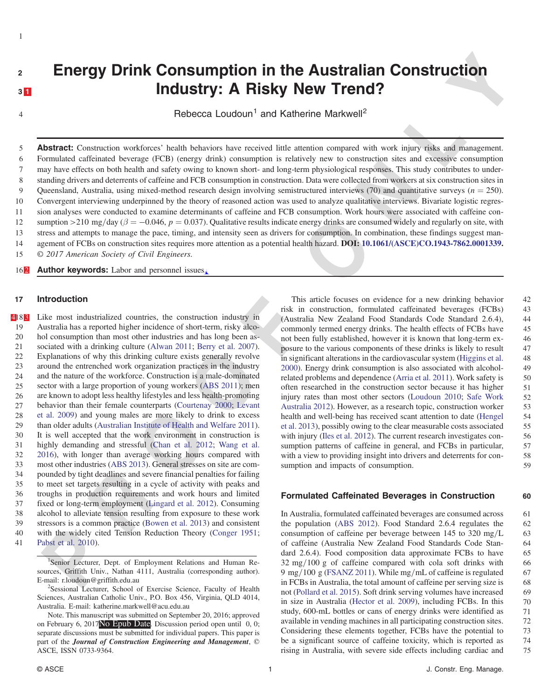1

# <sup>2</sup> Energy Drink Consumption in the Australian Construction **30** [1](#page--1-0) Industry: A Risky New Trend?

4 **Rebecca Loudoun<sup>1</sup>** and Katherine Markwell<sup>2</sup>

**Example 18 Australian Construction**<br> **Lew Trend?**<br> **Example 2018 Construction**<br> **Construction**<br> **Construction**<br> **Construction**<br> **Construction**<br> **Construction**<br> **Construction**<br> **Construction**<br> **Construction**<br> **Construction** 5 **Abstract:** Construction workforces' health behaviors have received little attention compared with work injury risks and management. 6 Formulated caffeinated beverage (FCB) (energy drink) consumption is relatively new to construction sites and excessive consumption 7 may have effects on both health and safety owing to known short- and long-term physiological responses. This study contributes to under-8 standing drivers and deterrents of caffeine and FCB consumption in construction. Data were collected from workers at six construction sites in 9 Queensland, Australia, using mixed-method research design involving semistructured interviews (70) and quantitative surveys ( $n = 250$ ).<br>10 Convergent interviewing underpinned by the theory of reasoned action was used to 10 Convergent interviewing underpinned by the theory of reasoned action was used to analyze qualitative interviews. Bivariate logistic regres-11 sion analyses were conducted to examine determinants of caffeine and FCB consumption. Work hours were associated with caffeine con-12 sumption >210 mg/day ( $\beta$  = -0.046, p = 0.037). Qualitative results indicate energy drinks are consumed widely and regularly on site, with stress and attempts to manage the pace, timing, and intensity seen as drivers stress and attempts to manage the pace, timing, and intensity seen as drivers for consumption. In combination, these findings suggest man-14 agement of FCBs on construction sites requires more attention as a potential health hazard. DOI: [10.1061/\(ASCE\)CO.1943-7862.0001339.](https://doi.org/10.1061/(ASCE)CO.1943-7862.0001339)

15 © 2017 American Society of Civil Engineers.

16<sup>[2](#page--1-0)</sup> Author keywords: Labor and personnel issues.

## 17 Introduction

Thin<br>
andustrialized countries, the construction industry in<br>
itsk in<br>
itend in most other industries and has long been as<br>
itend to than most other industries and has long been as<br>
a drinking culture (Alwan 2011; Berry et 8 [3](#page--1-0) Like most industrialized countries, the construction industry in Australia has a reported higher incidence of short-term, risky alco- hol consumption than most other industries and has long been as- sociated with a drinking culture [\(Alwan 2011](#page-7-0); [Berry et al. 2007\)](#page-7-0). Explanations of why this drinking culture exists generally revolve around the entrenched work organization practices in the industry and the nature of the workforce. Construction is a male-dominated sector with a large proportion of young workers (ABS 2011); men are known to adopt less healthy lifestyles and less health-promoting behavior than their female counterparts [\(Courtenay 2000](#page-7-0); Levant [et al. 2009](#page-8-0)) and young males are more likely to drink to excess than older adults ([Australian Institute of Health and Welfare 2011\)](#page-7-0). It is well accepted that the work environment in construction is highly demanding and stressful [\(Chan et al. 2012;](#page-7-0) [Wang et al.](#page-9-0) [2016](#page-9-0)), with longer than average working hours compared with most other industries [\(ABS 2013\)](#page-7-0). General stresses on site are com- pounded by tight deadlines and severe financial penalties for failing to meet set targets resulting in a cycle of activity with peaks and troughs in production requirements and work hours and limited fixed or long-term employment [\(Lingard et al. 2012\)](#page-8-0). Consuming alcohol to alleviate tension resulting from exposure to these work stressors is a common practice [\(Bowen et al. 2013](#page-7-0)) and consistent [Pabst et al. 2010](#page-8-0)).

This article focuses on evidence for a new drinking behavior 42 risk in construction, formulated caffeinated beverages (FCBs) 43 (Australia New Zealand Food Standards Code Standard 2.6.4), 44 commonly termed energy drinks. The health effects of FCBs have 45 not been fully established, however it is known that long-term ex- 46 posure to the various components of these drinks is likely to result 47 in significant alterations in the cardiovascular system [\(Higgins et al.](#page-8-0) 48 [2000](#page-8-0)). Energy drink consumption is also associated with alcohol- 49 related problems and dependence [\(Arria et al. 2011\)](#page-7-0). Work safety is 50 often researched in the construction sector because it has higher 51 injury rates than most other sectors ([Loudoun 2010](#page-8-0); [Safe Work](#page-8-0) 52 [Australia 2012\)](#page-8-0). However, as a research topic, construction worker 53 health and well-being has received scant attention to date ([Hengel](#page-8-0) 54 [et al. 2013\)](#page-8-0), possibly owing to the clear measurable costs associated 55 with injury ([Iles et al. 2012](#page-8-0)). The current research investigates con-<br>56 sumption patterns of caffeine in general, and FCBs in particular, 57 with a view to providing insight into drivers and deterrents for con-<br>58 sumption and impacts of consumption. 59

## Formulated Caffeinated Beverages in Construction 60

In Australia, formulated caffeinated beverages are consumed across 61 the population [\(ABS 2012](#page-7-0)). Food Standard 2.6.4 regulates the 62 consumption of caffeine per beverage between  $145$  to  $320 \text{ mg/L}$  63 of caffeine (Australia New Zealand Food Standards Code Stan- 64 dard 2.6.4). Food composition data approximate FCBs to have 65  $32 \text{ mg}/100 \text{ g}$  of caffeine compared with cola soft drinks with 66 9 mg/100 g [\(FSANZ 2011\)](#page-8-0). While mg/mL of caffeine is regulated  $67$ in FCBs in Australia, the total amount of caffeine per serving size is 68 not [\(Pollard et al. 2015\)](#page-8-0). Soft drink serving volumes have increased 69 in size in Australia ([Hector et al. 2009\)](#page-8-0), including FCBs. In this 70 study, 600-mL bottles or cans of energy drinks were identified as 71 available in vending machines in all participating construction sites. 72 Considering these elements together, FCBs have the potential to 73 be a significant source of caffeine toxicity, which is reported as 74 rising in Australia, with severe side effects including cardiac and 75

with the widely cited Tension Reduction Theory ([Conger 1951](#page-7-0);<br>
Pabst et al. 2010).<br>
Senior Lecturer, Dept. of Employment Relations and Human Resources, Griffith Univ., Nathan 4111, Australia (corresponding author).<br>
E-mail: <sup>1</sup>Senior Lecturer, Dept. of Employment Relations and Human Resources, Griffith Univ., Nathan 4111, Australia (corresponding author). E-mail: [r.loudoun@griffith.edu.au](mailto:r.loudoun@griffith.edu.au) <sup>2</sup>

<sup>&</sup>lt;sup>2</sup>Sessional Lecturer, School of Exercise Science, Faculty of Health Sciences, Australian Catholic Univ., P.O. Box 456, Virginia, QLD 4014, Australia. E-mail: [katherine.markwell@acu.edu.au](mailto:katherine.markwell@acu.edu.au)

Note. This manuscript was submitted on September 20, 2016; approved on February 6, 2017No Epub Date. Discussion period open until 0, 0; separate discussions must be submitted for individual papers. This paper is part of the Journal of Construction Engineering and Management, © ASCE, ISSN 0733-9364.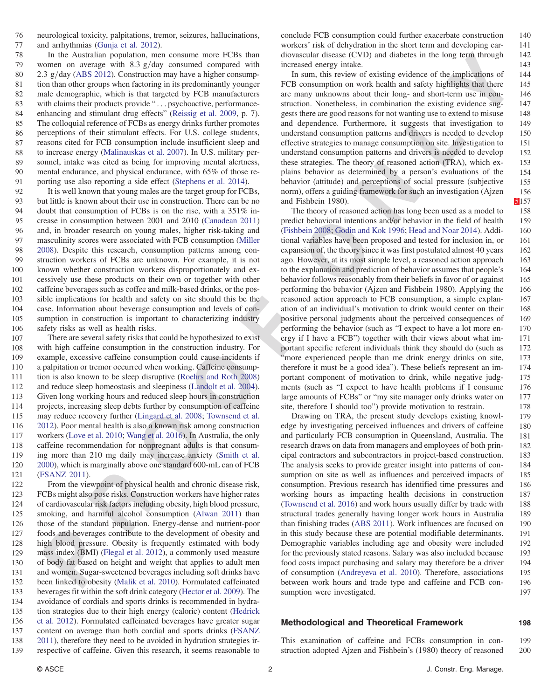76 neurological toxicity, palpitations, tremor, seizures, hallucinations,

77 and arrhythmias [\(Gunja et al. 2012](#page-8-0)).<br>78 In the Australian population, mer In the Australian population, men consume more FCBs than 79 women on average with  $8.3 \text{ g/day}$  consumed compared with  $2.3 \frac{\text{g}}{\text{day}}$  ([ABS 2012\)](#page-7-0). Construction may have a higher consump- tion than other groups when factoring in its predominantly younger male demographic, which is that targeted by FCB manufacturers 83 with claims their products provide "... psychoactive, performance- enhancing and stimulant drug effects" [\(Reissig et al. 2009,](#page-8-0) p. 7). The colloquial reference of FCBs as energy drinks further promotes perceptions of their stimulant effects. For U.S. college students, reasons cited for FCB consumption include insufficient sleep and to increase energy [\(Malinauskas et al. 2007](#page-8-0)). In U.S. military per- sonnel, intake was cited as being for improving mental alertness, mental endurance, and physical endurance, with 65% of those re-porting use also reporting a side effect [\(Stephens et al. 2014](#page-9-0)).

 It is well known that young males are the target group for FCBs, but little is known about their use in construction. There can be no doubt that consumption of FCBs is on the rise, with a 351% in- crease in consumption between 2001 and 2010 [\(Canadean 2011\)](#page-7-0) and, in broader research on young males, higher risk-taking and masculinity scores were associated with FCB consumption ([Miller](#page-8-0) [2008](#page-8-0)). Despite this research, consumption patterns among con- struction workers of FCBs are unknown. For example, it is not known whether construction workers disproportionately and ex- cessively use these products on their own or together with other caffeine beverages such as coffee and milk-based drinks, or the pos- sible implications for health and safety on site should this be the case. Information about beverage consumption and levels of con- sumption in construction is important to characterizing industry safety risks as well as health risks.

tions for health and safety on site should this be the reason construction about beverage consumption and levels of con-<br>
into construction is important to characterizing industry<br>
several safety risks that could be hypoth There are several safety risks that could be hypothesized to exist with high caffeine consumption in the construction industry. For example, excessive caffeine consumption could cause incidents if a palpitation or tremor occurred when working. Caffeine consump- tion is also known to be sleep disruptive ([Roehrs and Roth 2008\)](#page-8-0) and reduce sleep homeostasis and sleepiness (Landolt et al. 2004). Given long working hours and reduced sleep hours in construction projects, increasing sleep debts further by consumption of caffeine may reduce recovery further (Lingard et al. 2008; [Townsend et al.](#page-9-0) [2012](#page-9-0)). Poor mental health is also a known risk among construction workers ([Love et al. 2010](#page-8-0); [Wang et al. 2016\)](#page-9-0). In Australia, the only caffeine recommendation for nonpregnant adults is that consum- ing more than 210 mg daily may increase anxiety ([Smith et al.](#page-9-0) [2000](#page-9-0)), which is marginally above one standard 600-mL can of FCB [\(FSANZ 2011](#page-8-0)).

France of the standard<br>sigh blood pressure<br>aass index (BMI) (F<br>f body fat based or<br>nd women. Sugar-sveen linked to obesit From the viewpoint of physical health and chronic disease risk, FCBs might also pose risks. Construction workers have higher rates of cardiovascular risk factors including obesity, high blood pressure, smoking, and harmful alcohol consumption ([Alwan 2011](#page-7-0)) than those of the standard population. Energy-dense and nutrient-poor foods and beverages contribute to the development of obesity and high blood pressure. Obesity is frequently estimated with body mass index (BMI) [\(Flegal et al. 2012](#page-8-0)), a commonly used measure of body fat based on height and weight that applies to adult men and women. Sugar-sweetened beverages including soft drinks have been linked to obesity [\(Malik et al. 2010](#page-8-0)). Formulated caffeinated beverages fit within the soft drink category ([Hector et al. 2009](#page-8-0)). The avoidance of cordials and sports drinks is recommended in hydra- tion strategies due to their high energy (caloric) content ([Hedrick](#page-8-0) [et al. 2012](#page-8-0)). Formulated caffeinated beverages have greater sugar content on average than both cordial and sports drinks [\(FSANZ](#page-8-0) [2011](#page-8-0)), therefore they need to be avoided in hydration strategies ir-respective of caffeine. Given this research, it seems reasonable to conclude FCB consumption could further exacerbate construction 140 workers' risk of dehydration in the short term and developing car-<br>141 diovascular disease (CVD) and diabetes in the long term through 142 increased energy intake. 143

scular disease (CVD) and diabetes in the long term through<br>sed energy intake.<br>sum, this review of existing evidence of the implications of<br>sum, this review of existing evidence of the implications of<br>consumption on work he In sum, this review of existing evidence of the implications of 144 FCB consumption on work health and safety highlights that there 145 are many unknowns about their long- and short-term use in con- 146 struction. Nonetheless, in combination the existing evidence sug- 147 gests there are good reasons for not wanting use to extend to misuse 148 and dependence. Furthermore, it suggests that investigation to 149 understand consumption patterns and drivers is needed to develop 150 effective strategies to manage consumption on site. Investigation to 151 understand consumption patterns and drivers is needed to develop 152 these strategies. The theory of reasoned action (TRA), which ex- 153 plains behavior as determined by a person's evaluations of the 154 behavior (attitude) and perceptions of social pressure (subjective 155 norm), offers a guiding framework for such an investigation (Ajzen 156 and Fishbein 1980). [5](#page--1-0)157

The theory of reasoned action has long been used as a model to 158 predict behavioral intentions and/or behavior in the field of health 159 [\(Fishbein 2008;](#page-8-0) [Godin and Kok 1996](#page-8-0); [Head and Noar 2014\)](#page-8-0). Addi- 160 tional variables have been proposed and tested for inclusion in, or 161 expansion of, the theory since it was first postulated almost 40 years 162 ago. However, at its most simple level, a reasoned action approach 163 to the explanation and prediction of behavior assumes that people's 164 behavior follows reasonably from their beliefs in favor of or against 165 performing the behavior (Ajzen and Fishbein 1980). Applying the 166 reasoned action approach to FCB consumption, a simple explan- 167 ation of an individual's motivation to drink would center on their 168 positive personal judgments about the perceived consequences of 169 performing the behavior (such as "I expect to have a lot more en- 170 ergy if I have a FCB") together with their views about what im- 171 portant specific referent individuals think they should do (such as 172 "more experienced people than me drink energy drinks on site, 173 therefore it must be a good idea"). These beliefs represent an im- 174 portant component of motivation to drink, while negative judg- 175 ments (such as "I expect to have health problems if I consume 176 large amounts of FCBs" or "my site manager only drinks water on 177 site, therefore I should too") provide motivation to restrain. 178

Drawing on TRA, the present study develops existing knowl- 179 edge by investigating perceived influences and drivers of caffeine 180 and particularly FCB consumption in Queensland, Australia. The 181 research draws on data from managers and employees of both prin- 182 cipal contractors and subcontractors in project-based construction. 183 The analysis seeks to provide greater insight into patterns of con- 184 sumption on site as well as influences and perceived impacts of 185 consumption. Previous research has identified time pressures and 186 working hours as impacting health decisions in construction 187 [\(Townsend et al. 2016\)](#page-9-0) and work hours usually differ by trade with 188 structural trades generally having longer work hours in Australia 189 than finishing trades [\(ABS 2011](#page-7-0)). Work influences are focused on 190 in this study because these are potential modifiable determinants. 191 Demographic variables including age and obesity were included 192 for the previously stated reasons. Salary was also included because 193 food costs impact purchasing and salary may therefore be a driver 194 of consumption [\(Andreyeva et al. 2010](#page-7-0)). Therefore, associations 195 between work hours and trade type and caffeine and FCB con- 196 sumption were investigated. 197

## Methodological and Theoretical Framework 198

This examination of caffeine and FCBs consumption in con- 199 struction adopted Ajzen and Fishbein's (1980) theory of reasoned 200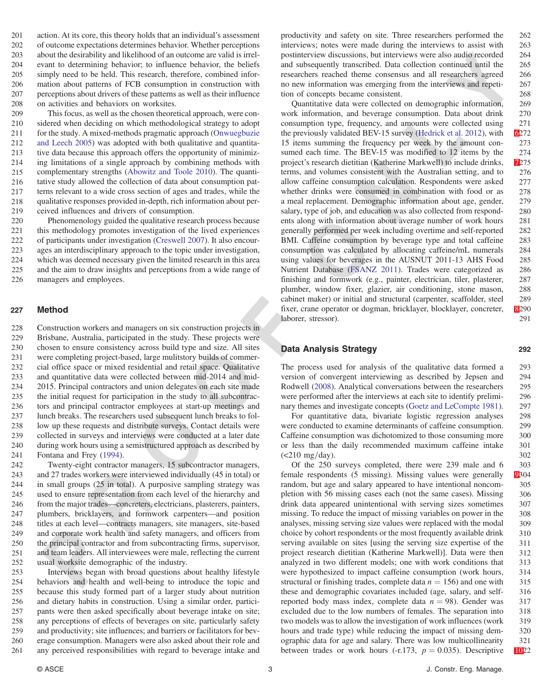action. At its core, this theory holds that an individual's assessment of outcome expectations determines behavior. Whether perceptions about the desirability and likelihood of an outcome are valid is irrel- evant to determining behavior; to influence behavior, the beliefs simply need to be held. This research, therefore, combined infor- mation about patterns of FCB consumption in construction with perceptions about drivers of these patterns as well as their influence on activities and behaviors on worksites.

 This focus, as well as the chosen theoretical approach, were con- sidered when deciding on which methodological strategy to adopt for the study. A mixed-methods pragmatic approach ([Onwuegbuzie](#page-8-0) [and Leech 2005](#page-8-0)) was adopted with both qualitative and quantita- tive data because this approach offers the opportunity of minimiz- ing limitations of a single approach by combining methods with complementary strengths [\(Abowitz and Toole 2010\)](#page-7-0). The quanti-216 tative study allowed the collection of data about consumption pat- terns relevant to a wide cross section of ages and trades, while the qualitative responses provided in-depth, rich information about per-ceived influences and drivers of consumption.

 Phenomenology guided the qualitative research process because this methodology promotes investigation of the lived experiences of participants under investigation ([Creswell 2007\)](#page-7-0). It also encour- ages an interdisciplinary approach to the topic under investigation, which was deemed necessary given the limited research in this area and the aim to draw insights and perceptions from a wide range of managers and employees.

## 227 Method

cabinet<br>
starting, and managers on six construction projects in<br>
starting and<br>
starting and size of the study. These projects we<br>
starte consistency across build type and size. All sites<br>
ting project-based, large mulistor Construction workers and managers on six construction projects in Brisbane, Australia, participated in the study. These projects were chosen to ensure consistency across build type and size. All sites were completing project-based, large mulitstory builds of commer- cial office space or mixed residential and retail space. Qualitative and quantitative data were collected between mid-2014 and mid- 2015. Principal contractors and union delegates on each site made the initial request for participation in the study to all subcontrac- tors and principal contractor employees at start-up meetings and lunch breaks. The researchers used subsequent lunch breaks to fol- low up these requests and distribute surveys. Contact details were collected in surveys and interviews were conducted at a later date during work hours using a semistructured approach as described by Fontana and Frey [\(1994](#page-8-0)).

Final corporate work I<br>he principal contract<br>and team leaders. All<br>sual worksite demo<br>Interviews began<br>ehaviors and health Twenty-eight contractor managers, 15 subcontractor managers, and 27 trades workers were interviewed individually (45 in total) or in small groups (25 in total). A purposive sampling strategy was used to ensure representation from each level of the hierarchy and from the major trades—concreters, electricians, plasterers, painters, plumbers, bricklayers, and formwork carpenters—and position 248 titles at each level—contracts managers, site managers, site-based and corporate work health and safety managers, and officers from the principal contractor and from subcontracting firms, supervisor, 251 and team leaders. All interviewees were male, reflecting the current 252 usual worksite demographic of the industry. usual worksite demographic of the industry.

 Interviews began with broad questions about healthy lifestyle behaviors and health and well-being to introduce the topic and because this study formed part of a larger study about nutrition and dietary habits in construction. Using a similar order, partici- pants were then asked specifically about beverage intake on site; any perceptions of effects of beverages on site, particularly safety and productivity; site influences; and barriers or facilitators for bev- erage consumption. Managers were also asked about their role and any perceived responsibilities with regard to beverage intake and productivity and safety on site. Three researchers performed the 262 interviews; notes were made during the interviews to assist with 263 postinterview discussions, but interviews were also audio recorded 264 and subsequently transcribed. Data collection continued until the 265 researchers reached theme consensus and all researchers agreed 266 no new information was emerging from the interviews and repeti- 267 tion of concepts became consistent. 268

terview discussions, but interviews were also audio recorded<br>ubsequently transcribed. Data collection continued until the<br>chers reached them consensus and all researchers agreed<br>information was emerging from the interviews Quantitative data were collected on demographic information, 269 work information, and beverage consumption. Data about drink 270 consumption type, frequency, and amounts were collected using 271 the previously validated BEV-15 survey [\(Hedrick et al. 2012\)](#page-8-0), with  $6272$  $6272$ 15 items summing the frequency per week by the amount con- 273 sumed each time. The BEV-15 was modified to 12 items by the 274 project's research dietitian (Katherine Markwell) to include drinks, [7](#page--1-0)275 terms, and volumes consistent with the Australian setting, and to 276 allow caffeine consumption calculation. Respondents were asked 277 whether drinks were consumed in combination with food or as 278 a meal replacement. Demographic information about age, gender, 279 salary, type of job, and education was also collected from respond-<br>280 ents along with information about average number of work hours 281 generally performed per week including overtime and self-reported 282 BMI. Caffeine consumption by beverage type and total caffeine 283 consumption was calculated by allocating caffeine/mL numerals 284 using values for beverages in the AUSNUT 2011-13 AHS Food 285 Nutrient Database ([FSANZ 2011\)](#page-8-0). Trades were categorized as 286 finishing and formwork (e.g., painter, electrician, tiler, plasterer, 287 plumber, window fixer, glazier, air conditioning, stone mason, 288 cabinet maker) or initial and structural (carpenter, scaffolder, steel 289 fixer, crane operator or dogman, bricklayer, blocklayer, concreter, [8](#page--1-0)290 laborer, stressor). 291

## Data Analysis Strategy 292

The process used for analysis of the qualitative data formed a 293 version of convergent interviewing as described by Jepsen and 294 Rodwell ([2008\)](#page-8-0). Analytical conversations between the researchers 295 were performed after the interviews at each site to identify prelimi-<br>296 nary themes and investigate concepts ([Goetz and LeCompte 1981\)](#page-8-0). 297

For quantitative data, bivariate logistic regression analyses 298 were conducted to examine determinants of caffeine consumption. 299 Caffeine consumption was dichotomized to those consuming more 300 or less than the daily recommended maximum caffeine intake 301  $\frac{(-210 \text{ mg/day})}{202}$ .

Of the 250 surveys completed, there were 239 male and 6 303 female respondents (5 missing). Missing values were generally [93](#page--1-0)04 random, but age and salary appeared to have intentional noncom- 305 pletion with 56 missing cases each (not the same cases). Missing 306 drink data appeared unintentional with serving sizes sometimes 307 missing. To reduce the impact of missing variables on power in the 308 analyses, missing serving size values were replaced with the modal 309 choice by cohort respondents or the most frequently available drink 310 serving available on sites [using the serving size expertise of the 311 project research dietitian (Katherine Markwell)]. Data were then 312 analyzed in two different models; one with work conditions that 313 were hypothesized to impact caffeine consumption (work hours, 314 structural or finishing trades, complete data  $n = 156$ ) and one with 315 these and demographic covariates included (age, salary, and self- 316 these and demographic covariates included (age, salary, and self- 316 reported body mass index, complete data  $n = 98$ ). Gender was 317 reported body mass index, complete data  $n = 98$ ). Gender was 317 excluded due to the low numbers of females. The separation into 318 excluded due to the low numbers of females. The separation into two models was to allow the investigation of work influences (work 319 hours and trade type) while reducing the impact of missing dem-<br>320 ographic data for age and salary. There was low multicollinearity 321 between trades or work hours (-r.173,  $p = 0.035$ ). Descriptive 1022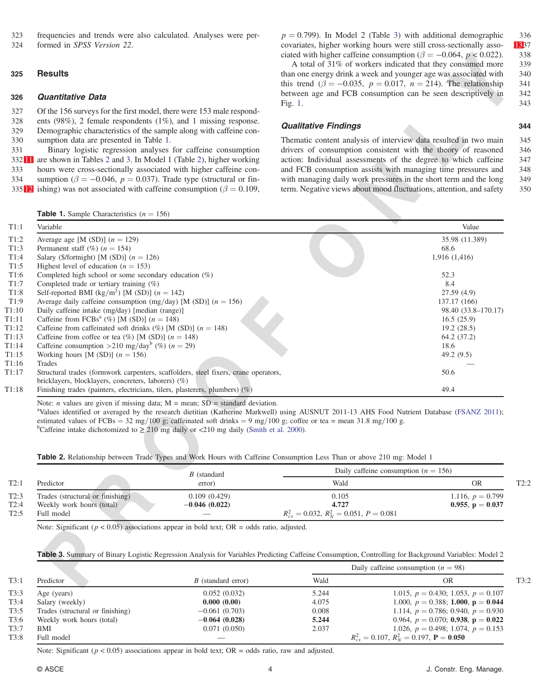323 frequencies and trends were also calculated. Analyses were per-324 formed in SPSS Version 22.

### 325 Results

#### 326 Quantitative Data

**Table 1.** Sample Characteristics  $(n = 156)$ 

 $p = 0.799$ ). In Model 2 (Table 3) with additional demographic 336 covariates, higher working hours were still cross-sectionally assocovariates, higher working hours were still cross-sectionally associated with higher caffeine consumption ( $\beta = -0.064$ ,  $p < 0.022$ ). 338<br>A total of 31% of workers indicated that they consumed more 339

A total of  $31\%$  of workers indicated that they consumed more than one energy drink a week and younger age was associated with 340 this trend ( $\beta = -0.035$ ,  $p = 0.017$ ,  $n = 214$ ). The relationship 341 between age and FCB consumption can be seen descriptively in 342 between age and FCB consumption can be seen descriptively in Fig. [1](#page-4-0). 343

### Qualitative Findings 344

Thematic content analysis of interview data resulted in two main 345 drivers of consumption consistent with the theory of reasoned 346 action: Individual assessments of the degree to which caffeine 347 and FCB consumption assists with managing time pressures and 348 with managing daily work pressures in the short term and the long 349 term. Negative views about mood fluctuations, attention, and safety 350

| 325<br>326   | <b>Results</b><br><b>Quantitative Data</b>                                                                                                                                                        |                          | ciated with higher caffeine consumption ( $\beta = -0.064$ , $p < 0.022$ ).<br>A total of 31% of workers indicated that they consumed more<br>than one energy drink a week and younger age was associated with<br>this trend ( $\beta = -0.035$ , $p = 0.017$ , $n = 214$ ). The relationship<br>between age and FCB consumption can be seen descriptively in |                                         |
|--------------|---------------------------------------------------------------------------------------------------------------------------------------------------------------------------------------------------|--------------------------|---------------------------------------------------------------------------------------------------------------------------------------------------------------------------------------------------------------------------------------------------------------------------------------------------------------------------------------------------------------|-----------------------------------------|
| 327<br>328   | Of the 156 surveys for the first model, there were 153 male respond-<br>ents (98%), 2 female respondents (1%), and 1 missing response.                                                            |                          | Fig. $1$ .                                                                                                                                                                                                                                                                                                                                                    |                                         |
| 329          | Demographic characteristics of the sample along with caffeine con-                                                                                                                                |                          | <b>Qualitative Findings</b>                                                                                                                                                                                                                                                                                                                                   |                                         |
| 330          | sumption data are presented in Table 1.                                                                                                                                                           |                          | Thematic content analysis of interview data resulted in two main                                                                                                                                                                                                                                                                                              |                                         |
| 331          | Binary logistic regression analyses for caffeine consumption                                                                                                                                      |                          | drivers of consumption consistent with the theory of reasoned                                                                                                                                                                                                                                                                                                 |                                         |
|              | 332 <sup>11</sup> are shown in Tables 2 and 3. In Model 1 (Table 2), higher working                                                                                                               |                          | action: Individual assessments of the degree to which caffeine                                                                                                                                                                                                                                                                                                |                                         |
| 333          | hours were cross-sectionally associated with higher caffeine con-                                                                                                                                 |                          | and FCB consumption assists with managing time pressures and                                                                                                                                                                                                                                                                                                  |                                         |
| 334          | sumption ( $\beta = -0.046$ , $p = 0.037$ ). Trade type (structural or fin-                                                                                                                       |                          | with managing daily work pressures in the short term and the long                                                                                                                                                                                                                                                                                             |                                         |
| 335 12       | ishing) was not associated with caffeine consumption ( $\beta = 0.109$ ,                                                                                                                          |                          | term. Negative views about mood fluctuations, attention, and safety                                                                                                                                                                                                                                                                                           |                                         |
|              | <b>Table 1.</b> Sample Characteristics $(n = 156)$                                                                                                                                                |                          |                                                                                                                                                                                                                                                                                                                                                               |                                         |
| T1:1         | Variable                                                                                                                                                                                          |                          |                                                                                                                                                                                                                                                                                                                                                               | Value                                   |
| T1:2         | Average age [M (SD)] $(n = 129)$                                                                                                                                                                  |                          |                                                                                                                                                                                                                                                                                                                                                               | 35.98 (11.389)                          |
| T1:3         | Permanent staff (%) ( $n = 154$ )                                                                                                                                                                 |                          |                                                                                                                                                                                                                                                                                                                                                               | 68.6                                    |
| T1:4         | Salary (\$/fortnight) [M (SD)] $(n = 126)$                                                                                                                                                        |                          |                                                                                                                                                                                                                                                                                                                                                               | 1,916(1,416)                            |
| T1:5         | Highest level of education ( $n = 153$ )                                                                                                                                                          |                          |                                                                                                                                                                                                                                                                                                                                                               |                                         |
| T1:6<br>T1:7 | Completed high school or some secondary education $(\%)$<br>Completed trade or tertiary training $(\%)$                                                                                           |                          |                                                                                                                                                                                                                                                                                                                                                               | 52.3<br>8.4                             |
| T1:8         | Self-reported BMI (kg/m <sup>2</sup> ) [M (SD)] $(n = 142)$                                                                                                                                       |                          |                                                                                                                                                                                                                                                                                                                                                               | 27.59 (4.9)                             |
| T1:9         | Average daily caffeine consumption (mg/day) [M (SD)] ( $n = 156$ )                                                                                                                                |                          |                                                                                                                                                                                                                                                                                                                                                               | 137.17 (166)                            |
| T1:10        | Daily caffeine intake (mg/day) [median (range)]                                                                                                                                                   |                          |                                                                                                                                                                                                                                                                                                                                                               | 98.40 (33.8–170.17)                     |
| T1:11        | Caffeine from FCBs <sup>a</sup> (%) [M (SD)] $(n = 148)$                                                                                                                                          |                          |                                                                                                                                                                                                                                                                                                                                                               | 16.5(25.9)                              |
| T1:12        | Caffeine from caffeinated soft drinks (%) [M (SD)] $(n = 148)$                                                                                                                                    |                          |                                                                                                                                                                                                                                                                                                                                                               | 19.2(28.5)                              |
| T1:13        | Caffeine from coffee or tea (%) [M (SD)] $(n = 148)$                                                                                                                                              |                          |                                                                                                                                                                                                                                                                                                                                                               | 64.2 (37.2)                             |
| T1:14        | Caffeine consumption >210 mg/day <sup>b</sup> (%) ( $n = 29$ )                                                                                                                                    |                          |                                                                                                                                                                                                                                                                                                                                                               | 18.6                                    |
| T1:15        | Working hours [M (SD)] $(n = 156)$                                                                                                                                                                |                          |                                                                                                                                                                                                                                                                                                                                                               | 49.2 $(9.5)$                            |
| T1:16        | Trades                                                                                                                                                                                            |                          |                                                                                                                                                                                                                                                                                                                                                               |                                         |
| T1:17        | Structural trades (formwork carpenters, scaffolders, steel fixers, crane operators,                                                                                                               |                          |                                                                                                                                                                                                                                                                                                                                                               | 50.6                                    |
|              | bricklayers, blocklayers, concreters, laborers) (%)                                                                                                                                               |                          |                                                                                                                                                                                                                                                                                                                                                               |                                         |
| T1:18        | Finishing trades (painters, electricians, tilers, plasterers, plumbers) $(\%)$                                                                                                                    |                          |                                                                                                                                                                                                                                                                                                                                                               | 49.4                                    |
|              | Note: <i>n</i> values are given if missing data; $M =$ mean; $SD =$ standard deviation.<br><sup>b</sup> Caffeine intake dichotomized to $\geq$ 210 mg daily or <210 mg daily (Smith et al. 2000). |                          | <sup>a</sup> Values identified or averaged by the research dietitian (Katherine Markwell) using AUSNUT 2011-13 AHS Food Nutrient Database (FSANZ 2011);<br>estimated values of FCBs = 32 mg/100 g; caffeinated soft drinks = 9 mg/100 g; coffee or tea = mean 31.8 mg/100 g.                                                                                  |                                         |
|              |                                                                                                                                                                                                   |                          | Table 2. Relationship between Trade Types and Work Hours with Caffeine Consumption Less Than or above 210 mg: Model 1<br>Daily caffeine consumption ( $n = 156$ )                                                                                                                                                                                             |                                         |
| T2:1         | Predictor                                                                                                                                                                                         | $B$ (standard<br>error)  | Wald                                                                                                                                                                                                                                                                                                                                                          | <b>OR</b>                               |
| T2:3         | Trades (structural or finishing)                                                                                                                                                                  | 0.109(0.429)             | 0.105                                                                                                                                                                                                                                                                                                                                                         | 1.116, $p = 0.799$                      |
| T2:4         | Weekly work hours (total)                                                                                                                                                                         | $-0.046(0.022)$          | 4.727                                                                                                                                                                                                                                                                                                                                                         | 0.955, $p = 0.037$                      |
| T2:5         | Full model                                                                                                                                                                                        | $\overline{\phantom{0}}$ | $R_{cs}^2 = 0.032$ , $R_N^2 = 0.051$ , $P = 0.081$                                                                                                                                                                                                                                                                                                            |                                         |
|              | Note: Significant ( $p < 0.05$ ) associations appear in bold text; OR = odds ratio, adjusted.                                                                                                     |                          |                                                                                                                                                                                                                                                                                                                                                               |                                         |
|              |                                                                                                                                                                                                   |                          |                                                                                                                                                                                                                                                                                                                                                               |                                         |
|              |                                                                                                                                                                                                   |                          | Table 3. Summary of Binary Logistic Regression Analysis for Variables Predicting Caffeine Consumption, Controlling for Background Variables: Model 2                                                                                                                                                                                                          |                                         |
|              |                                                                                                                                                                                                   |                          |                                                                                                                                                                                                                                                                                                                                                               | Daily caffeine consumption ( $n = 98$ ) |
| T3:1         | Predictor                                                                                                                                                                                         | $B$ (standard error)     | Wald                                                                                                                                                                                                                                                                                                                                                          | <b>OR</b>                               |
|              |                                                                                                                                                                                                   | 0.052, 0.022             | 5.211                                                                                                                                                                                                                                                                                                                                                         | 0.420.1052<br>0.107                     |

|      |                                  | B (standard     | Daily caffeine consumption $(n = 156)$               |                    |      |
|------|----------------------------------|-----------------|------------------------------------------------------|--------------------|------|
| T2:1 | Predictor                        | error)          | Wald                                                 | OR                 | T2:2 |
| T2:3 | Trades (structural or finishing) | 0.109(0.429)    | 0.105                                                | 1.116, $p = 0.799$ |      |
| T2:4 | Weekly work hours (total)        | $-0.046(0.022)$ | 4.727                                                | 0.955, $p = 0.037$ |      |
| T2:5 | Full model                       |                 | $R_{cs}^2 = 0.032$ , $R_{N}^2 = 0.051$ , $P = 0.081$ |                    |      |

#### Table 3. Summary of Binary Logistic Regression Analysis for Variables Predicting Caffeine Consumption, Controlling for Background Variables: Model 2

|                                  | <i>B</i> (standard error) | Daily caffeine consumption $(n = 98)$ |                                                               |
|----------------------------------|---------------------------|---------------------------------------|---------------------------------------------------------------|
| Predictor                        |                           | Wald                                  | OR                                                            |
| Age (years)                      | 0.052(0.032)              | 5.244                                 | 1.015, $p = 0.430$ ; 1.053, $p = 0.107$                       |
| Salary (weekly)                  | 0.000(0.00)               | 4.075                                 | 1.000, $p = 0.388$ ; 1.000, $p = 0.044$                       |
| Trades (structural or finishing) | $-0.061(0.703)$           | 0.008                                 | 1.114, $p = 0.786$ ; 0.940, $p = 0.930$                       |
| Weekly work hours (total)        | $-0.064(0.028)$           | 5.244                                 | 0.964, $p = 0.070$ ; 0.938, $p = 0.022$                       |
| BMI                              | 0.071(0.050)              | 2.037                                 | 1.026, $p = 0.498$ ; 1.074, $p = 0.153$                       |
| Full model                       |                           |                                       | $R_{cs}^2 = 0.107$ , $R_{N}^2 = 0.197$ , $\mathbf{P} = 0.050$ |

Note: Significant ( $p < 0.05$ ) associations appear in bold text; OR = odds ratio, raw and adjusted.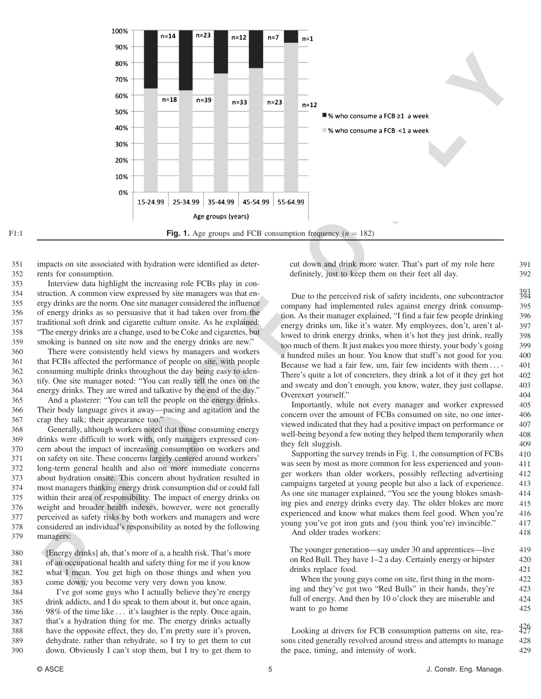<span id="page-4-0"></span>

351 impacts on site associated with hydration were identified as deter-352 rents for consumption.

 Interview data highlight the increasing role FCBs play in con- struction. A common view expressed by site managers was that en- ergy drinks are the norm. One site manager considered the influence of energy drinks as so persuasive that it had taken over from the traditional soft drink and cigarette culture onsite. As he explained: "The energy drinks are a change, used to be Coke and cigarettes, but smoking is banned on site now and the energy drinks are new."

 There were consistently held views by managers and workers that FCBs affected the performance of people on site, with people consuming multiple drinks throughout the day being easy to iden- tify. One site manager noted: "You can really tell the ones on the energy drinks. They are wired and talkative by the end of the day." And a plasterer: "You can tell the people on the energy drinks.

366 Their body language gives it away—pacing and agitation and the 367 crap they talk; their appearance too."

During the state of the manager on-<br>
interval the influence companies as to persuasive that it had taken over from the<br>
drinks as so persuasive that it had taken over from the<br>
drinks are a change, used to be Coke and ciga Generally, although workers noted that those consuming energy drinks were difficult to work with, only managers expressed con- cern about the impact of increasing consumption on workers and on safety on site. These concerns largely centered around workers' long-term general health and also on more immediate concerns about hydration onsite. This concern about hydration resulted in most managers thinking energy drink consumption did or could fall within their area of responsibility. The impact of energy drinks on weight and broader health indexes, however, were not generally perceived as safety risks by both workers and managers and were considered an individual's responsibility as noted by the following managers:

onsidered an individent<br>
annagers:<br>
[Energy drinks] ah<br>
of an occupational<br>
what I mean. You<br>
come down, you [Energy drinks] ah, that's more of a, a health risk. That's more of an occupational health and safety thing for me if you know what I mean. You get high on those things and when you come down, you become very very down you know.

 I've got some guys who I actually believe they're energy drink addicts, and I do speak to them about it, but once again, 386 98% of the time like ... it's laughter is the reply. Once again, that's a hydration thing for me. The energy drinks actually have the opposite effect, they do, I'm pretty sure it's proven, dehydrate. rather than rehydrate, so I try to get them to cut down. Obviously I can't stop them, but I try to get them to cut down and drink more water. That's part of my role here 391 definitely, just to keep them on their feet all day. 392

<sup>393</sup> Due to the perceived risk of safety incidents, one subcontractor <sup>394</sup> company had implemented rules against energy drink consump- 395 tion. As their manager explained, "I find a fair few people drinking 396 energy drinks um, like it's water. My employees, don't, aren't al-<br>397 lowed to drink energy drinks, when it's hot they just drink, really 398 too much of them. It just makes you more thirsty, your body's going 399 a hundred miles an hour. You know that stuff's not good for you. 400 Because we had a fair few, um, fair few incidents with them ... - 401 There's quite a lot of concreters, they drink a lot of it they get hot 402 and sweaty and don't enough, you know, water, they just collapse. 403 Overexert yourself." 404

Importantly, while not every manager and worker expressed 405 concern over the amount of FCBs consumed on site, no one inter- 406 viewed indicated that they had a positive impact on performance or 407 well-being beyond a few noting they helped them temporarily when 408 they felt sluggish. 409

Supporting the survey trends in Fig. 1, the consumption of FCBs 410 was seen by most as more common for less experienced and youn-411 ger workers than older workers, possibly reflecting advertising 412 campaigns targeted at young people but also a lack of experience. 413 As one site manager explained, "You see the young blokes smash- 414 ing pies and energy drinks every day. The older blokes are more 415 experienced and know what makes them feel good. When you're 416 young you've got iron guts and (you think you're) invincible." 417 And older trades workers: 418

The younger generation—say under 30 and apprentices—live 419 on Red Bull. They have 1–2 a day. Certainly energy or hipster 420 drinks replace food. 421

When the young guys come on site, first thing in the morn- 422 ing and they've got two "Red Bulls" in their hands, they're 423 full of energy. And then by 10 o'clock they are miserable and 424 want to go home 425

<sup>426</sup> Looking at drivers for FCB consumption patterns on site, rea- <sup>427</sup> sons cited generally revolved around stress and attempts to manage 428 the pace, timing, and intensity of work. 429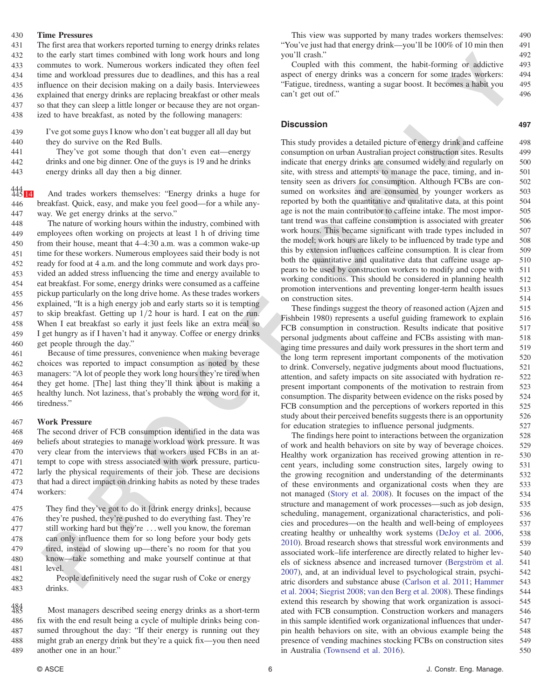### 430 Time Pressures

 The first area that workers reported turning to energy drinks relates to the early start times combined with long work hours and long commutes to work. Numerous workers indicated they often feel time and workload pressures due to deadlines, and this has a real influence on their decision making on a daily basis. Interviewees explained that energy drinks are replacing breakfast or other meals so that they can sleep a little longer or because they are not organ-ized to have breakfast, as noted by the following managers:

- 439 I've got some guys I know who don't eat bugger all all day but 440 they do survive on the Red Bulls.
- 441 They've got some though that don't even eat—energy 442 drinks and one big dinner. One of the guys is 19 and he drinks
- 443 energy drinks all day then a big dinner.

444<br>445 [14](#page--1-0) And trades workers themselves: "Energy drinks a huge for 446 breakfast. Quick, easy, and make you feel good—for a while any-447 way. We get energy drinks at the servo."

 The nature of working hours within the industry, combined with employees often working on projects at least 1 h of driving time from their house, meant that 4–4:30 a.m. was a common wake-up time for these workers. Numerous employees said their body is not ready for food at 4 a.m. and the long commute and work days pro- vided an added stress influencing the time and energy available to eat breakfast. For some, energy drinks were consumed as a caffeine pickup particularly on the long drive home. As these trades workers explained, "It is a high energy job and early starts so it is tempting 457 to skip breakfast. Getting up  $1/2$  hour is hard. I eat on the run. When I eat breakfast so early it just feels like an extra meal so I get hungry as if I haven't had it anyway. Coffee or energy drinks get people through the day."

 Because of time pressures, convenience when making beverage choices was reported to impact consumption as noted by these managers: "A lot of people they work long hours they're tired when they get home. [The] last thing they'll think about is making a healthy lunch. Not laziness, that's probably the wrong word for it, tiredness."

#### 467 Work Pressure

the sample of the supplies of the sample of content and the sample of the sample of the sample of the sample of the sample of the sample of the sample of the sample of the sample of the sample of the sample of the sample The second driver of FCB consumption identified in the data was beliefs about strategies to manage workload work pressure. It was very clear from the interviews that workers used FCBs in an at- tempt to cope with stress associated with work pressure, particu- larly the physical requirements of their job. These are decisions that had a direct impact on drinking habits as noted by these trades 474 workers:

still working hard<br>can only influence<br>tired, instead of s<br>know—take some<br>level.<br>People definitiv 475 They find they've got to do it [drink energy drinks], because 476 they're pushed, they're pushed to do everything fast. They're 477 still working hard but they're ... well you know, the foreman 478 can only influence them for so long before your body gets 479 tired, instead of slowing up—there's no room for that you 480 know—take something and make yourself continue at that 481 level.

482 People definitively need the sugar rush of Coke or energy 483 drinks.

 <sup>485</sup> Most managers described seeing energy drinks as a short-term fix with the end result being a cycle of multiple drinks being con- sumed throughout the day: "If their energy is running out they might grab an energy drink but they're a quick fix—you then need another one in an hour."

This view was supported by many trades workers themselves: 490 "You've just had that energy drink—you'll be 100% of 10 min then 491 you'll crash." 492

Coupled with this comment, the habit-forming or addictive 493 aspect of energy drinks was a concern for some trades workers: 494 "Fatigue, tiredness, wanting a sugar boost. It becomes a habit you 495 can't get out of." 496

## Discussion 497

crash."<br>
orgash."<br>
orgash with this comment, the habit-forming or addictive<br>
organgy drinks was a concern for some trades workers:<br>
orgate course, the techness, wanting a sugar boost. It becomes a habit you<br>
get out of."<br> This study provides a detailed picture of energy drink and caffeine 498 consumption on urban Australian project construction sites. Results 499 indicate that energy drinks are consumed widely and regularly on 500 site, with stress and attempts to manage the pace, timing, and in- 501 tensity seen as drivers for consumption. Although FCBs are con- 502 sumed on worksites and are consumed by younger workers as 503 reported by both the quantitative and qualitative data, at this point 504 age is not the main contributor to caffeine intake. The most impor- 505 tant trend was that caffeine consumption is associated with greater 506 work hours. This became significant with trade types included in 507 the model; work hours are likely to be influenced by trade type and 508 this by extension influences caffeine consumption. It is clear from 509 both the quantitative and qualitative data that caffeine usage ap-<br>510 pears to be used by construction workers to modify and cope with 511 working conditions. This should be considered in planning health 512 promotion interventions and preventing longer-term health issues 513 on construction sites. 514

These findings suggest the theory of reasoned action (Ajzen and 515 Fishbein 1980) represents a useful guiding framework to explain 516 FCB consumption in construction. Results indicate that positive 517 personal judgments about caffeine and FCBs assisting with man- 518 aging time pressures and daily work pressures in the short term and 519 the long term represent important components of the motivation 520 to drink. Conversely, negative judgments about mood fluctuations, 521 attention, and safety impacts on site associated with hydration re- 522 present important components of the motivation to restrain from 523 consumption. The disparity between evidence on the risks posed by 524 FCB consumption and the perceptions of workers reported in this 525 study about their perceived benefits suggests there is an opportunity 526 for education strategies to influence personal judgments. 527

The findings here point to interactions between the organization 528 of work and health behaviors on site by way of beverage choices. 529 Healthy work organization has received growing attention in re- 530 cent years, including some construction sites, largely owing to 531 the growing recognition and understanding of the determinants 532 of these environments and organizational costs when they are 533 not managed [\(Story et al. 2008](#page-9-0)). It focuses on the impact of the 534 structure and management of work processes—such as job design, 535 scheduling, management, organizational characteristics, and poli- 536 cies and procedures—on the health and well-being of employees 537 creating healthy or unhealthy work systems ([DeJoy et al. 2006,](#page-7-0) 538 [2010](#page-8-0)). Broad research shows that stressful work environments and 539 associated work–life interference are directly related to higher lev- 540 els of sickness absence and increased turnover [\(Bergström et al.](#page-7-0) 541 [2007](#page-7-0)), and, at an individual level to psychological strain, psychi- 542 atric disorders and substance abuse ([Carlson et al. 2011;](#page-7-0) [Hammer](#page-8-0) 543 [et al. 2004](#page-8-0); [Siegrist 2008;](#page-9-0) [van den Berg et al. 2008](#page-9-0)). These findings 544 extend this research by showing that work organization is associ- 545 ated with FCB consumption. Construction workers and managers 546 in this sample identified work organizational influences that under- 547 pin health behaviors on site, with an obvious example being the 548 presence of vending machines stocking FCBs on construction sites 549 in Australia [\(Townsend et al. 2016\)](#page-9-0). 550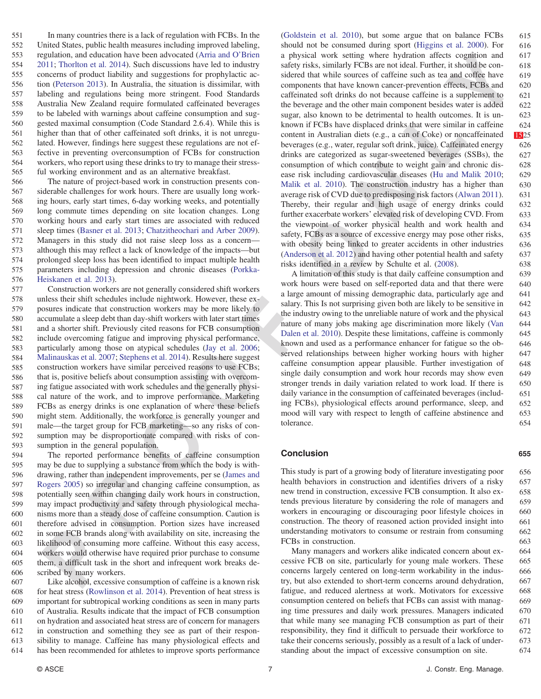In many countries there is a lack of regulation with FCBs. In the United States, public health measures including improved labeling, regulation, and education have been advocated ([Arria and O](#page-7-0)'Brien [2011](#page-7-0); [Thorlton et al. 2014\)](#page-9-0). Such discussions have led to industry concerns of product liability and suggestions for prophylactic ac- tion ([Peterson 2013](#page-8-0)). In Australia, the situation is dissimilar, with labeling and regulations being more stringent. Food Standards Australia New Zealand require formulated caffeinated beverages to be labeled with warnings about caffeine consumption and sug- gested maximal consumption (Code Standard 2.6.4). While this is higher than that of other caffeinated soft drinks, it is not unregu- lated. However, findings here suggest these regulations are not ef- fective in preventing overconsumption of FCBs for construction workers, who report using these drinks to try to manage their stress-ful working environment and as an alternative breakfast.

 The nature of project-based work in construction presents con- siderable challenges for work hours. There are usually long work- ing hours, early start times, 6-day working weeks, and potentially long commute times depending on site location changes. Long working hours and early start times are associated with reduced sleep times ([Basner et al. 2013](#page-7-0); [Chatzitheochari and Arber 2009\)](#page-7-0). Managers in this study did not raise sleep loss as a concern— although this may reflect a lack of knowledge of the impacts—but prolonged sleep loss has been identified to impact multiple health parameters including depression and chronic diseases [\(Porkka-](#page-8-0)[Heiskanen et al. 2013\)](#page-8-0).

the interded include include include inconsite into the section and the same that construction workers may be more likely to slarly steep debt hand any-shift workers with later start times<br>slarly since deal incorporation a Construction workers are not generally considered shift workers unless their shift schedules include nightwork. However, these ex- posures indicate that construction workers may be more likely to accumulate a sleep debt than day-shift workers with later start times and a shorter shift. Previously cited reasons for FCB consumption include overcoming fatigue and improving physical performance, particularly among those on atypical schedules ([Jay et al. 2006](#page-8-0); [Malinauskas et al. 2007;](#page-8-0) [Stephens et al. 2014](#page-9-0)). Results here suggest construction workers have similar perceived reasons to use FCBs; that is, positive beliefs about consumption assisting with overcom- ing fatigue associated with work schedules and the generally physi- cal nature of the work, and to improve performance. Marketing FCBs as energy drinks is one explanation of where these beliefs might stem. Additionally, the workforce is generally younger and male—the target group for FCB marketing—so any risks of con- sumption may be disproportionate compared with risks of con-sumption in the general population.

Free FCB brands<br>
Some FCB brands<br>
Somewhere would other<br>
Norkers would be the series<br>
Figure 10 and the series<br>
Like alcohol, exce The reported performance benefits of caffeine consumption may be due to supplying a substance from which the body is with- drawing, rather than independent improvements, per se [\(James and](#page-8-0) [Rogers 2005\)](#page-8-0) so irregular and changing caffeine consumption, as potentially seen within changing daily work hours in construction, may impact productivity and safety through physiological mecha- nisms more than a steady dose of caffeine consumption. Caution is therefore advised in consumption. Portion sizes have increased in some FCB brands along with availability on site, increasing the likelihood of consuming more caffeine. Without this easy access, workers would otherwise have required prior purchase to consume them, a difficult task in the short and infrequent work breaks de-scribed by many workers.

 Like alcohol, excessive consumption of caffeine is a known risk for heat stress [\(Rowlinson et al. 2014](#page-8-0)). Prevention of heat stress is important for subtropical working conditions as seen in many parts of Australia. Results indicate that the impact of FCB consumption on hydration and associated heat stress are of concern for managers in construction and something they see as part of their respon- sibility to manage. Caffeine has many physiological effects and has been recommended for athletes to improve sports performance

sical work setting where hydration affects cognition and<br>risks, similarly FCBs are not ideal. Further, it should be con-<br>d that while sources of caffeine such as tea and coffee have<br>onenents that have known cancer-preventi [\(Goldstein et al. 2010](#page-8-0)), but some argue that on balance FCBs 615 should not be consumed during sport ([Higgins et al. 2000\)](#page-8-0). For 616 a physical work setting where hydration affects cognition and 617 safety risks, similarly FCBs are not ideal. Further, it should be con-<br>618 sidered that while sources of caffeine such as tea and coffee have 619 components that have known cancer-prevention effects, FCBs and 620 caffeinated soft drinks do not because caffeine is a supplement to 621 the beverage and the other main component besides water is added 622 sugar, also known to be detrimental to health outcomes. It is un- 623 known if FCBs have displaced drinks that were similar in caffeine 624 content in Australian diets (e.g., a can of Coke) or noncaffeinated 1525 beverages (e.g., water, regular soft drink, juice). Caffeinated energy 626 drinks are categorized as sugar-sweetened beverages (SSBs), the 627 consumption of which contribute to weight gain and chronic dis- 628 ease risk including cardiovascular diseases [\(Hu and Malik 2010](#page-8-0); 629 [Malik et al. 2010](#page-8-0)). The construction industry has a higher than 630 average risk of CVD due to predisposing risk factors [\(Alwan 2011\)](#page-7-0). 631 Thereby, their regular and high usage of energy drinks could 632 further exacerbate workers' elevated risk of developing CVD. From 633 the viewpoint of worker physical health and work health and 634 safety, FCBs as a source of excessive energy may pose other risks, 635 with obesity being linked to greater accidents in other industries 636 [\(Anderson et al. 2012\)](#page-7-0) and having other potential health and safety 637 risks identified in a review by Schulte et al. ([2008\)](#page-8-0). 638

A limitation of this study is that daily caffeine consumption and 639 work hours were based on self-reported data and that there were 640 a large amount of missing demographic data, particularly age and 641 salary. This Is not surprising given both are likely to be sensitive in 642 the industry owing to the unreliable nature of work and the physical 643 nature of many jobs making age discrimination more likely [\(Van](#page-9-0) 644 [Dalen et al. 2010\)](#page-9-0). Despite these limitations, caffeine is commonly 645 known and used as a performance enhancer for fatigue so the ob- 646 served relationships between higher working hours with higher 647 caffeine consumption appear plausible. Further investigation of 648 single daily consumption and work hour records may show even 649 stronger trends in daily variation related to work load. If there is 650 daily variance in the consumption of caffeinated beverages (includ651 ing FCBs), physiological effects around performance, sleep, and 652 mood will vary with respect to length of caffeine abstinence and 653 tolerance. 654

## Conclusion 655

This study is part of a growing body of literature investigating poor 656 health behaviors in construction and identifies drivers of a risky 657 new trend in construction, excessive FCB consumption. It also ex-<br>658 tends previous literature by considering the role of managers and 659 workers in encouraging or discouraging poor lifestyle choices in 660 construction. The theory of reasoned action provided insight into 661 understanding motivators to consume or restrain from consuming 662 FCBs in construction. 663

Many managers and workers alike indicated concern about ex- 664 cessive FCB on site, particularly for young male workers. These 665 concerns largely centered on long-term workability in the indus- 666 try, but also extended to short-term concerns around dehydration, 667 fatigue, and reduced alertness at work. Motivators for excessive 668 consumption centered on beliefs that FCBs can assist with manag- 669 ing time pressures and daily work pressures. Managers indicated 670 that while many see managing FCB consumption as part of their 671 responsibility, they find it difficult to persuade their workforce to 672 take their concerns seriously, possibly as a result of a lack of under- 673 standing about the impact of excessive consumption on site. 674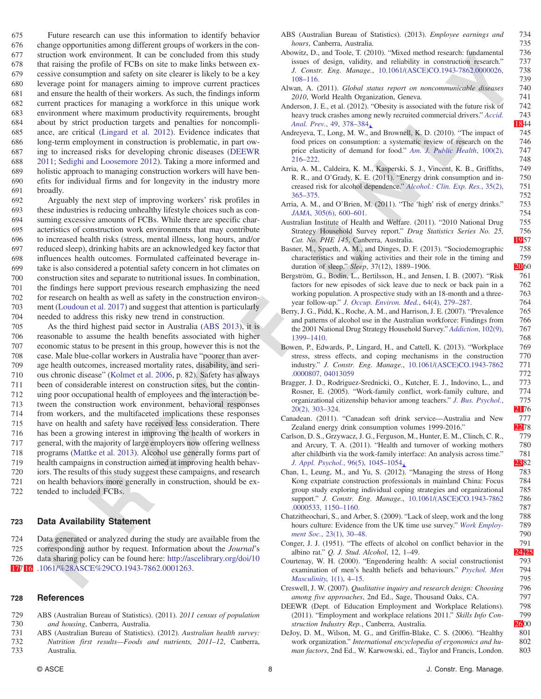<span id="page-7-0"></span> Future research can use this information to identify behavior change opportunities among different groups of workers in the con- struction work environment. It can be concluded from this study that raising the profile of FCBs on site to make links between ex- cessive consumption and safety on site clearer is likely to be a key leverage point for managers aiming to improve current practices and ensure the health of their workers. As such, the findings inform current practices for managing a workforce in this unique work environment where maximum productivity requirements, brought about by strict production targets and penalties for noncompli- ance, are critical [\(Lingard et al. 2012\)](#page-8-0). Evidence indicates that long-term employment in construction is problematic, in part ow- ing to increased risks for developing chronic diseases (DEEWR 2011; [Sedighi and Loosemore 2012\)](#page-8-0). Taking a more informed and holistic approach to managing construction workers will have ben- efits for individual firms and for longevity in the industry more 691 broadly.

 Arguably the next step of improving workers' risk profiles in these industries is reducing unhealthy lifestyle choices such as con- suming excessive amounts of FCBs. While there are specific char- acteristics of construction work environments that may contribute to increased health risks (stress, mental illness, long hours, and/or reduced sleep), drinking habits are an acknowledged key factor that influences health outcomes. Formulated caffeinated beverage in- take is also considered a potential safety concern in hot climates on construction sites and separate to nutritional issues. In combination, the findings here support previous research emphasizing the need for research on health as well as safety in the construction environ- ment ([Loudoun et al. 2017\)](#page-8-0) and suggest that attention is particularly needed to address this risky new trend in construction.

In each as well as safely in the construction environmental<br>
une tal. 2017) and suggest that attention is particularly<br>
lignest his risky new trend in construction.<br>
inclusting the health benefits associated with higher<br> As the third highest paid sector in Australia (ABS 2013), it is reasonable to assume the health benefits associated with higher economic status to be present in this group, however this is not the case. Male blue-collar workers in Australia have "poorer than aver- age health outcomes, increased mortality rates, disability, and seri- ous chronic disease" ([Kolmet et al. 2006,](#page-8-0) p. 82). Safety has always been of considerable interest on construction sites, but the contin- uing poor occupational health of employees and the interaction be- tween the construction work environment, behavioral responses from workers, and the multifaceted implications these responses have on health and safety have received less consideration. There has been a growing interest in improving the health of workers in general, with the majority of large employers now offering wellness programs [\(Mattke et al. 2013\)](#page-8-0). Alcohol use generally forms part of health campaigns in construction aimed at improving health behav- iors. The results of this study suggest these campaigns, and research on health behaviors more generally in construction, should be ex-tended to included FCBs.

#### 723 Data Availability Statement

Data generated or an<br>orresponding autho<br>ata sharing policy c<br>1061/%28ASCE%2 Data generated or analyzed during the study are available from the corresponding author by request. Information about the Journal's data sharing policy can be found here: [http://ascelibrary.org/doi/10](http://ascelibrary.org/doi/10.1061/%28ASCE%29CO.1943-7862.0001263) 17 [16](#page--1-0) [.1061/%28ASCE%29CO.1943-7862.0001263](http://ascelibrary.org/doi/10.1061/%28ASCE%29CO.1943-7862.0001263).

#### 728 References

- 729 ABS (Australian Bureau of Statistics). (2011). 2011 census of population 730 and housing, Canberra, Australia.
- 731 ABS (Australian Bureau of Statistics). (2012). Australian health survey: 732 Nutrition first results—Foods and nutrients, 2011–12, Canberra, 733 Australia.
- ABS (Australian Bureau of Statistics). (2013). Employee earnings and 734 hours, Canberra, Australia. 735
- Abowitz, D., and Toole, T. (2010). "Mixed method research: fundamental 736 issues of design, validity, and reliability in construction research." 737 J. Constr. Eng. Manage., [10.1061/\(ASCE\)CO.1943-7862.0000026,](https://doi.org/10.1061/(ASCE)CO.1943-7862.0000026) 738 108–[116.](https://doi.org/10.1061/(ASCE)CO.1943-7862.0000026) 739
- Alwan, A. (2011). Global status report on noncommunicable diseases 740 2010, World Health Organization, Geneva. 741
- Anderson, J. E., et al. (2012). "Obesity is associated with the future risk of 742 heavy truck crashes among newly recruited commercial drivers." Accid. 743 [Anal. Prev.](https://doi.org/10.1016/j.aap.2012.02.018), 49, 378–384. [1874](#page--1-0)
- 1z, D., and 100le, 1. (2010). "Mixed method research: tundamental<br>
ales of design, validity, and reliability in construction research."<br>
Constr. Eng. Manage., 10.1061/(ASCE)CO.1943-7862.0000026,<br>
8-116.<br>
A. (2011). *Globa* Andreyeva, T., Long, M. W., and Brownell, K. D. (2010). "The impact of 745 food prices on consumption: a systematic review of research on the 746 price elasticity of demand for food." [Am. J. Public Health](https://doi.org/10.2105/AJPH.2008.151415), 100(2), 747 216–[222.](https://doi.org/10.2105/AJPH.2008.151415) 748
- Arria, A. M., Caldeira, K. M., Kasperski, S. J., Vincent, K. B., Griffiths, 749 R. R., and O'Grady, K. E. (2011). "Energy drink consumption and in- 750 creased risk for alcohol dependence." [Alcohol.: Clin. Exp. Res.](https://doi.org/10.1111/j.1530-0277.2010.01352.x), 35(2), 751 365–[375.](https://doi.org/10.1111/j.1530-0277.2010.01352.x) 752
- Arria, A. M., and O'Brien, M. (2011). "The 'high' risk of energy drinks." 753 JAMA[, 305\(6\), 600](https://doi.org/10.1001/jama.2011.109)–601. 754
- Australian Institute of Health and Welfare. (2011). "2010 National Drug 755 Strategy Household Survey report." Drug Statistics Series No. 25, 756 Cat. No. PHE 145, Canberra, Australia. 1957
- Basner, M., Spaeth, A. M., and Dinges, D. F. (2013). "Sociodemographic 758 characteristics and waking activities and their role in the timing and 759 duration of sleep." Sleep, 37(12), 1889–1906. 2060
- Bergström, G., Bodin, L., Bertilsson, H., and Jensen, I. B. (2007). "Risk 761 factors for new episodes of sick leave due to neck or back pain in a 762 working population. A prospective study with an 18-month and a three-  $\frac{763}{ }$ year follow-up." *[J. Occup. Environ. Med.](https://doi.org/10.1136/oem.2006.026583)*, 64(4), 279-287. 764
- Berry, J. G., Pidd, K., Roche, A. M., and Harrison, J. E. (2007). "Prevalence 765 and patterns of alcohol use in the Australian workforce: Findings from 766 the 2001 National Drug Strategy Household Survey." [Addiction](https://doi.org/10.1111/j.1360-0443.2007.01893.x), 102(9), 767 [1399](https://doi.org/10.1111/j.1360-0443.2007.01893.x)–1410. 768
- Bowen, P., Edwards, P., Lingard, H., and Cattell, K. (2013). "Workplace 769 stress, stress effects, and coping mechanisms in the construction 770 industry." J. Constr. Eng. Manage., [10.1061/\(ASCE\)CO.1943-7862](https://doi.org/10.1061/(ASCE)CO.1943-7862.0000807) 771 [.0000807, 04013059](https://doi.org/10.1061/(ASCE)CO.1943-7862.0000807) 772
- Bragger, J. D., Rodriguez-Srednicki, O., Kutcher, E. J., Indovino, L., and 773 Rosner, E. (2005). "Work-family conflict, work-family culture, and 774 organizational citizenship behavior among teachers." [J. Bus. Psychol.](https://doi.org/10.1007/s10869-005-8266-0), 775 [20\(2\), 303](https://doi.org/10.1007/s10869-005-8266-0)–324. [2177](#page--1-0)6
- Canadean. (2011). "Canadean soft drink service—Australia and New 777<br>Zealand energy drink consumption volumes 1999-2016." Zealand energy drink consumption volumes 1999-2016." 2278<br>
2278<br>
279 Elson, D. S., Grzywacz, J. G., Ferguson, M., Hunter, E. M., Clinch, C. R., 779
- Carlson, D. S., Grzywacz, J. G., Ferguson, M., Hunter, E. M., Clinch, C. R., and Arcury, T. A. (2011). "Health and turnover of working mothers 780 after childbirth via the work-family interface: An analysis across time." 781 [J. Appl. Psychol.](https://doi.org/10.1037/a0023964), 96(5), 1045–1054.
- Chan, I., Leung, M., and Yu, S. (2012). "Managing the stress of Hong 783 Kong expatriate construction professionals in mainland China: Focus 784 group study exploring individual coping strategies and organizational 785 group study exploring individual coping strategies and organizational support." J. Constr. Eng. Manage., [10.1061/\(ASCE\)CO.1943-7862](https://doi.org/10.1061/(ASCE)CO.1943-7862.0000533) 786 [.0000533, 1150](https://doi.org/10.1061/(ASCE)CO.1943-7862.0000533)–1160. 787
- Chatzitheochari, S., and Arber, S. (2009). "Lack of sleep, work and the long 788 hours culture: Evidence from the UK time use survey." *Work Employ*-789 hours culture: Evidence from the UK time use survey." [Work Employ-](https://doi.org/10.1177/0950017008099776) ment Soc.[, 23\(1\), 30](https://doi.org/10.1177/0950017008099776)–48. 790
- Conger, J. J. (1951). "The effects of alcohol on conflict behavior in the 791 albino rat." Q. J. Stud. Alcohol, 12, 1–49. albino rat."  $Q.$  J. Stud. Alcohol, 12, 1-49.
- Courtenay, W. H. (2000). "Engendering health: A social constructionist 793 examination of men's health beliefs and behaviours." [Psychol. Men](https://doi.org/10.1037/1524-9220.1.1.4) 794 *[Masculinity](https://doi.org/10.1037/1524-9220.1.1.4)*, 1(1), 4–15. 795
- Creswell, J. W. (2007). Qualitative inquiry and research design: Choosing 796 among five approaches, 2nd Ed., Sage, Thousand Oaks, CA.
- DEEWR (Dept. of Education Employment and Workplace Relations). 798 (2011). "Employment and workplace relations 2011." Skills Info Con- 799 struction Industry Rep., Canberra, Australia. 26<sup>00</sup>
- DeJoy, D. M., Wilson, M. G., and Griffin-Blake, C. S. (2006). "Healthy 801 work organization." International encyclopedia of ergonomics and hu-<br>802 man factors, 2nd Ed., W. Karwowski, ed., Taylor and Francis, London. 803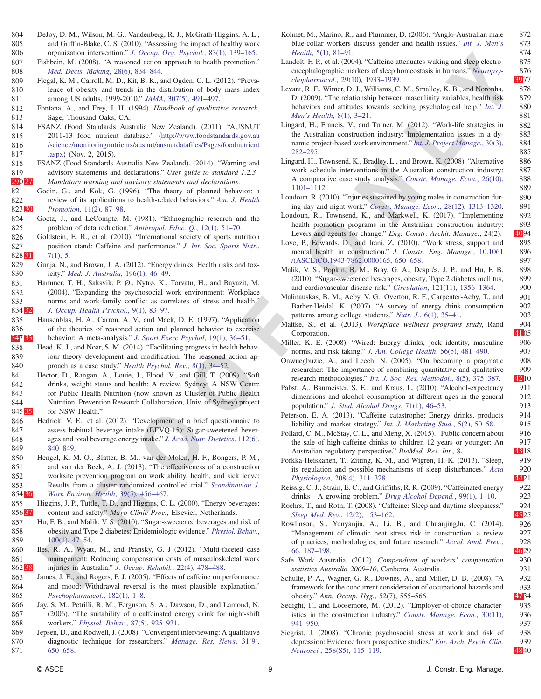- <span id="page-8-0"></span>804 DeJoy, D. M., Wilson, M. G., Vandenberg, R. J., McGrath-Higgins, A. L., 805 and Griffin-Blake, C. S. (2010). "Assessing the impact of healthy work 806 organization intervention." [J. Occup. Org. Psychol.](https://doi.org/10.1348/096317908X398773), 83(1), 139–165.
- 807 Fishbein, M. (2008). "A reasoned action approach to health promotion." 808 [Med. Decis. Making](https://doi.org/10.1177/0272989X08326092), 28(6), 834–844.
- 809 Flegal, K. M., Carroll, M. D., Kit, B. K., and Ogden, C. L. (2012). "Preva-810 lence of obesity and trends in the distribution of body mass index 811 among US adults, 1999-2010." JAMA[, 307\(5\), 491](https://doi.org/10.1001/jama.2012.39)-497.
- 812 Fontana, A., and Frey, J. H. (1994). Handbook of qualitative research, 813 Sage, Thousand Oaks, CA.
- 814 FSANZ (Food Standards Australia New Zealand). (2011). "AUSNUT 815 2011-13 food nutrient database." 〈[http://www.foodstandards.gov.au](http://www.foodstandards.gov.au/science/monitoringnutrients/ausnut/ausnutdatafiles/Pages/foodnutrient.aspx) 816 [/science/monitoringnutrients/ausnut/ausnutdatafiles/Pages/foodnutrient](http://www.foodstandards.gov.au/science/monitoringnutrients/ausnut/ausnutdatafiles/Pages/foodnutrient.aspx) 817 .aspx) (Nov. 2, 2015). [.aspx](http://www.foodstandards.gov.au/science/monitoringnutrients/ausnut/ausnutdatafiles/Pages/foodnutrient.aspx)) (Nov. 2, 2015).
- 818 FSANZ (Food Standards Australia New Zealand). (2014). "Warning and 819 advisory statements and declarations." User guide to standard 1.2.3– 290<sup>[27](#page--1-0)</sup> Mandatory warning and advisory statements and declarations.
- 821 Godin, G., and Kok, G. (1996). "The theory of planned behavior: a 822 review of its applications to health-related behaviors." [Am. J. Health](https://doi.org/10.4278/0890-1171-11.2.87) 823 [30](#page--1-0) *Promotion*[, 11\(2\), 87](https://doi.org/10.4278/0890-1171-11.2.87)-98.
- 824 Goetz, J., and LeCompte, M. (1981). "Ethnographic research and the 825 problem of data reduction." [Anthropol. Educ. Q.](https://doi.org/10.1525/aeq.1981.12.1.05x1283i), 12(1), 51-70.
- 826 Goldstein, E. R., et al. (2010). "International society of sports nutrition 827 position stand: Caffeine and performance." [J. Int. Soc. Sports Nutr.](https://doi.org/10.1186/1550-2783-7-5),  $828\,31$  $828\,31$  [7\(1\), 5.](https://doi.org/10.1186/1550-2783-7-5)
- 829 Gunja, N., and Brown, J. A. (2012). "Energy drinks: Health risks and tox-830 icity." [Med. J. Australia](https://doi.org/10.5694/mja11.10838), 196(1), 46–49.
- 831 Hammer, T. H., Saksvik, P. Ø., Nytrø, K., Torvatn, H., and Bayazit, M. 832 (2004). "Expanding the psychosocial work environment: Workplace 833 norms and work-family conflict as correlates of stress and health." 834 [32](#page--1-0) [J. Occup. Health Psychol.](https://doi.org/10.1037/1076-8998.9.1.83), 9(1), 83-97.
- 835 Hausenblas, H. A., Carron, A. V., and Mack, D. E. (1997). "Application 836 of the theories of reasoned action and planned behavior to exercise 347 [33](#page--1-0) behavior: A meta-analysis." [J. Sport Exerc Psychol](https://doi.org/10.1123/jsep.19.1.36), 19(1), 36–51.
- 838 Head, K. J., and Noar, S. M. (2014). "Facilitating progress in health behav-839 iour theory development and modification: The reasoned action ap-840 proach as a case study." *[Health Psychol. Rev.](https://doi.org/10.1080/17437199.2013.778165)*, 8(1), 34–52.
- 841 Hector, D., Rangan, A., Louie, J., Flood, V., and Gill, T. (2009). "Soft 842 drinks, weight status and health: A review. Sydney: A NSW Centre 843 for Public Health Nutrition (now known as Cluster of Public Health 844 Nutrition, Prevention Research Collaboration, Univ. of Sydney) project 845<sup>[35](#page--1-0)</sup> for NSW Health."
- 846 Hedrick, V. E., et al. (2012). "Development of a brief questionnaire to 847 assess habitual beverage intake (BEVQ-15): Sugar-sweetened bever-848 ages and total beverage energy intake." [J. Acad. Nutr. Dietetics](https://doi.org/10.1016/j.jand.2012.01.023), 112(6), 849 840–[849.](https://doi.org/10.1016/j.jand.2012.01.023)
- work-family conflict as correlates of stress and health,"<br>
Health Psychol., 9(1), 83–77.<br>
Health Psychol., D.E. (1997). "Application patted<br>
1. A., Carron, A. V., and Mack, D. E. (1997). "Application patted<br>
1. A., Carron 850 Hengel, K. M. O., Blatter, B. M., van der Molen, H. F., Bongers, P. M., 851 and van der Beek, A. J. (2013). "The effectiveness of a construction 852 worksite prevention program on work ability, health, and sick leave: worksite prevention program on work ability, health, and sick leave: 853 Results from a cluster randomized controlled trial." [Scandinavian J.](https://doi.org/10.5271/sjweh.3361) 854 [36](#page--1-0) Work Environ. Health, 39(5), 456-467.
- 855 Higgins, J. P., Tuttle, T. D., and Higgins, C. L. (2000). "Energy beverages: 856<sup>[37](#page--1-0)</sup> content and safety." Mayo Clinic Proc., Elsevier, Netherlands.
- 857 Hu, F. B., and Malik, V. S. (2010). "Sugar-sweetened beverages and risk of 858 obesity and Type 2 diabetes: Epidemiologic evidence." [Physiol. Behav.](https://doi.org/10.1016/j.physbeh.2010.01.036), 859 100(1), 47–54.
- obesity and Type 2 a<br>
100(1), 47–54.<br>
es, R. A., Wyatt, M<br>
management: Redu<br>
injuries in Australia<br>
ames, J. E., and Roger<br>
and mood: Withdr. 860 Iles, R. A., Wyatt, M., and Pransky, G. J (2012). "Multi-faceted case 861 management: Reducing compensation costs of musculoskeletal work 862 [38](#page--1-0) injuries in Australia." [J. Occup. Rehabil.](https://doi.org/10.1007/s10926-012-9364-2), 22(4), 478–488.
- 863 James, J. E., and Rogers, P. J. (2005). "Effects of caffeine on performance 864 and mood: Withdrawal reversal is the most plausible explanation." 865 [Psychopharmacol.](https://doi.org/10.1007/s00213-005-0084-6), 182(1), 1–8.
- 866 Jay, S. M., Petrilli, R. M., Ferguson, S. A., Dawson, D., and Lamond, N. 867 (2006). "The suitability of a caffeinated energy drink for night-shift 868 workers." [Physiol. Behav.](https://doi.org/10.1016/j.physbeh.2006.02.012), 87(5), 925–931.
- 869 Jepsen, D., and Rodwell, J. (2008). "Convergent interviewing: A qualitative 870 diagnostic technique for researchers." [Manage. Res. News](https://doi.org/10.1108/01409170810898545), 31(9), 871 650–658. 650–[658.](https://doi.org/10.1108/01409170810898545)
	-
- Kolmet, M., Marino, R., and Plummer, D. (2006). "Anglo-Australian male 872 blue-collar workers discuss gender and health issues." [Int. J. Men](https://doi.org/10.3149/jmh.0501.81)'s 873 Health[, 5\(1\), 81](https://doi.org/10.3149/jmh.0501.81)–91. 874
- Landolt, H-P., et al. (2004). "Caffeine attenuates waking and sleep electro- 875 encephalographic markers of sleep homeostasis in humans." Neuropsy- 876 [chopharmacol.](https://doi.org/10.1038/sj.npp.1300526), 29(10), 1933–1939. **3977**
- Levant, R. F., Wimer, D. J., Williams, C. M., Smalley, K. B., and Noronha, 878 D. (2009). "The relationship between masculinity variables, health risk 879 behaviors and attitudes towards seeking psychological help." Int. J. 880 Men'[s Health](https://doi.org/10.3149/jmh.0801.3), 8(1), 3–21. 881
- alth, 5(1), 81–91.<br>
It, H-P, et al. (2004). "Caffeine attenuates waking and sleep electro-<br>
tt, H-P, et al. (2004). "Caffeine attenuates waking and sleep electro-<br>
repeation markers of sleep homeostasis in humans." Neurop Lingard, H., Francis, V., and Turner, M. (2012). "Work-life strategies in 882 the Australian construction industry: Implementation issues in a dy- 883 namic project-based work environment." [Int. J. Project Manage.](https://doi.org/10.1016/j.ijproman.2011.08.002), 30(3), 884 282–[295.](https://doi.org/10.1016/j.ijproman.2011.08.002) 885
- Lingard, H., Townsend, K., Bradley, L., and Brown, K. (2008). "Alternative 886 work schedule interventions in the Australian construction industry: 887 A comparative case study analysis." [Constr. Manage. Econ.](https://doi.org/10.1080/01446190802389402), 26(10), 888 [1101](https://doi.org/10.1080/01446190802389402)–1112. 889
- Loudoun, R. (2010). "Injuries sustained by young males in construction dur- 890 ing day and night work." [Constr. Manage. Econ.](https://doi.org/10.1080/01446193.2010.521760), 28(12), 1313–1320. 891
- Loudoun, R., Townsend, K., and Markwell, K. (2017). "Implementing 892 health promotion programs in the Australian construction industry: 893 Levers and agents for change." Eng. Constr. Archit. Manage., 24(2). 4094
- Love, P., Edwards, D., and Irani, Z. (2010). "Work stress, support and 895 mental health in construction." J. Constr. Eng. Manage., [10.1061](https://doi.org/10.1061/(ASCE)CO.1943-7862.0000165) 896 [/\(ASCE\)CO.1943-7862.0000165, 650](https://doi.org/10.1061/(ASCE)CO.1943-7862.0000165)–658. 897
- Malik, V. S., Popkin, B. M., Bray, G. A., Després, J. P., and Hu, F. B. 898 (2010). "Sugar-sweetened beverages, obesity, Type 2 diabetes mellitus, 899 and cardiovascular disease risk." Circulation[, 121\(11\), 1356](https://doi.org/10.1161/CIRCULATIONAHA.109.876185)-1364. 900
- Malinauskas, B. M., Aeby, V. G., Overton, R. F., Carpenter-Aeby, T., and 901 Barber-Heidal, K. (2007). "A survey of energy drink consumption 902 patterns among college students." Nutr. J.[, 6\(1\), 35](https://doi.org/10.1186/1475-2891-6-35)-41. 903
- Mattke, S., et al. (2013). Workplace wellness programs study, Rand 904 Corporation. 41<sup>05</sup>
- Miller, K. E. (2008). "Wired: Energy drinks, jock identity, masculine 906 norms, and risk taking." [J. Am. College Health](https://doi.org/10.3200/JACH.56.5.481-490), 56(5), 481–490. 907
- Onwuegbuzie, A., and Leech, N. (2005). "On becoming a pragmatic 908 researcher: The importance of combining quantitative and qualitative 909 research methodologies." [Int. J. Soc. Res. Methodol.](https://doi.org/10.1080/13645570500402447), 8(5), 375-387. 4210
- Pabst, A., Baumeister, S. E., and Kraus, L. (2010). "Alcohol-expectancy 911 dimensions and alcohol consumption at different ages in the general 912 population." [J. Stud. Alcohol Drugs](https://doi.org/10.15288/jsad.2010.71.46), 71(1), 46-53. 913
- Peterson, E. A. (2013). "Caffeine catastrophe: Energy drinks, products 914 liability and market strategy." [Int. J. Marketing Stud.](https://doi.org/10.5539/ijms.v5n2p50), 5(2), 50–58. 915
- Pollard, C. M., McStay, C. L., and Meng, X. (2015). "Public concern about 916 the sale of high-caffeine drinks to children 12 years or younger: An 917<br>Australian regulatory perspective." *BioMed. Res. Int.*, 8. 4318 Australian regulatory perspective." BioMed. Res. Int., 8.
- Porkka-Heiskanen, T., Zitting, K.-M., and Wigren, H.-K. (2013). "Sleep, 919 its regulation and possible mechanisms of sleep disturbances." [Acta](https://doi.org/10.1111/apha.12134) 920  $Phwsiolooica$ . 208(4), 311–328. Physiologica[, 208\(4\), 311](https://doi.org/10.1111/apha.12134)-328.
- Reissig, C. J., Strain, E. C., and Griffiths, R. R. (2009). "Caffeinated energy 922 drinks—A growing problem." [Drug Alcohol Depend.](https://doi.org/10.1016/j.drugalcdep.2008.08.001), 99(1), 1–10. 923
- Roehrs, T., and Roth, T. (2008). "Caffeine: Sleep and daytime sleepiness." 924 [Sleep Med. Rev.](https://doi.org/10.1016/j.smrv.2007.07.004), 12(2), 153–162. 4525
- Rowlinson, S., Yunyanjia, A., Li, B., and ChuanjingJu, C. (2014). 926 "Management of climatic heat stress risk in construction: a review 927 of practices, methodologies, and future research." [Accid. Anal. Prev.](https://doi.org/10.1016/j.aap.2013.08.011), 928 [66, 187](https://doi.org/10.1016/j.aap.2013.08.011)–198. **4629**
- Safe Work Australia. (2012). Compendium of workers' compensation 930 statistics Australia 2009–10, Canberra, Australia. 931
- Schulte, P. A., Wagner, G. R., Downes, A., and Miller, D. B. (2008). "A 932 framework for the concurrent consideration of occupational hazards and 933 obesity." Ann. Occup. Hyg., 52(7), 555–566.  $\frac{47}{34}$ obesity." Ann. Occup. Hyg., 52(7), 555-566.
- Sedighi, F., and Loosemore, M. (2012). "Employer-of-choice character- 935 istics in the construction industry." [Constr. Manage. Econ.](https://doi.org/10.1080/01446193.2012.694458), 30(11), 936 941–[950.](https://doi.org/10.1080/01446193.2012.694458) 937
- Siegrist, J. (2008). "Chronic psychosocial stress at work and risk of 938 depression: Evidence from prospective studies." *[Eur. Arch. Psych. Clin.](https://doi.org/10.1007/s00406-008-5024-0)* 939<br>Neurosci., 258(S5), 115–119. Neurosci.[, 258\(S5\), 115](https://doi.org/10.1007/s00406-008-5024-0)–119.